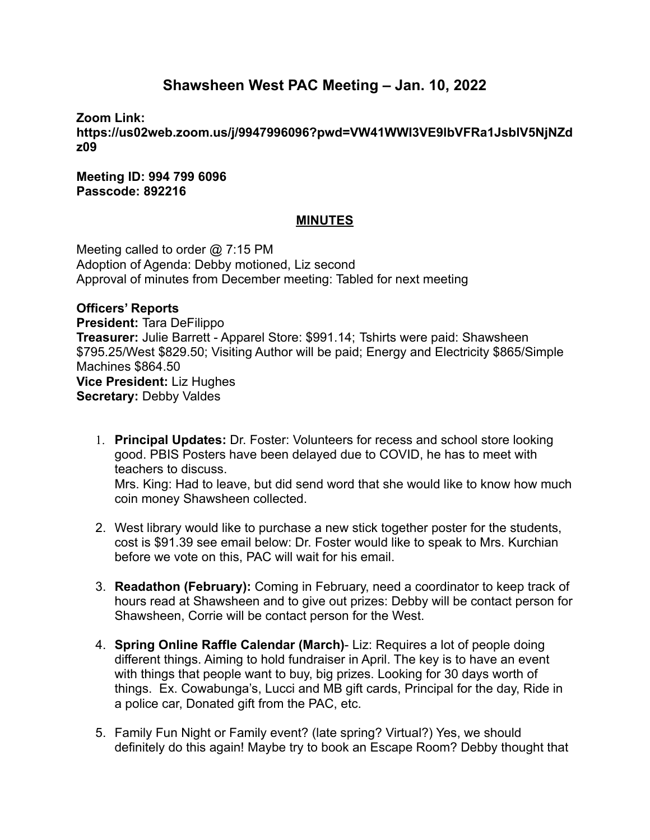## **Shawsheen West PAC Meeting – Jan. 10, 2022**

**Zoom Link:**

**https://us02web.zoom.us/j/9947996096?pwd=VW41WWI3VE9lbVFRa1JsblV5NjNZd z09**

**Meeting ID: 994 799 6096 Passcode: 892216**

## **MINUTES**

Meeting called to order @ 7:15 PM Adoption of Agenda: Debby motioned, Liz second Approval of minutes from December meeting: Tabled for next meeting

**Officers' Reports**

**President:** Tara DeFilippo **Treasurer:** Julie Barrett - Apparel Store: \$991.14; Tshirts were paid: Shawsheen \$795.25/West \$829.50; Visiting Author will be paid; Energy and Electricity \$865/Simple Machines \$864.50 **Vice President:** Liz Hughes **Secretary:** Debby Valdes

- 1. **Principal Updates:** Dr. Foster: Volunteers for recess and school store looking good. PBIS Posters have been delayed due to COVID, he has to meet with teachers to discuss. Mrs. King: Had to leave, but did send word that she would like to know how much coin money Shawsheen collected.
- 2. West library would like to purchase a new stick together poster for the students, cost is \$91.39 see email below: Dr. Foster would like to speak to Mrs. Kurchian before we vote on this, PAC will wait for his email.
- 3. **Readathon (February):** Coming in February, need a coordinator to keep track of hours read at Shawsheen and to give out prizes: Debby will be contact person for Shawsheen, Corrie will be contact person for the West.
- 4. **Spring Online Raffle Calendar (March)** Liz: Requires a lot of people doing different things. Aiming to hold fundraiser in April. The key is to have an event with things that people want to buy, big prizes. Looking for 30 days worth of things. Ex. Cowabunga's, Lucci and MB gift cards, Principal for the day, Ride in a police car, Donated gift from the PAC, etc.
- 5. Family Fun Night or Family event? (late spring? Virtual?) Yes, we should definitely do this again! Maybe try to book an Escape Room? Debby thought that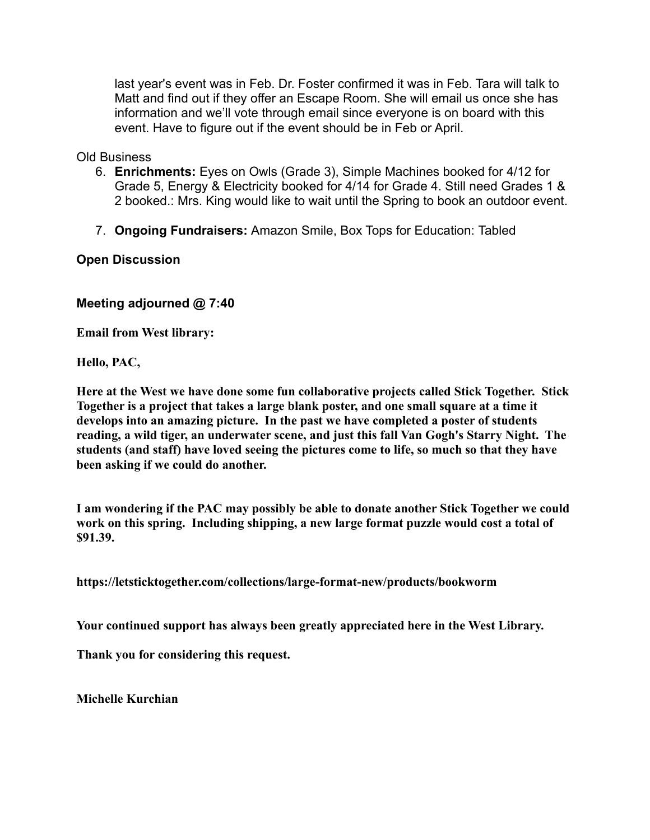last year's event was in Feb. Dr. Foster confirmed it was in Feb. Tara will talk to Matt and find out if they offer an Escape Room. She will email us once she has information and we'll vote through email since everyone is on board with this event. Have to figure out if the event should be in Feb or April.

Old Business

- 6. **Enrichments:** Eyes on Owls (Grade 3), Simple Machines booked for 4/12 for Grade 5, Energy & Electricity booked for 4/14 for Grade 4. Still need Grades 1 & 2 booked.: Mrs. King would like to wait until the Spring to book an outdoor event.
- 7. **Ongoing Fundraisers:** Amazon Smile, Box Tops for Education: Tabled

**Open Discussion**

**Meeting adjourned @ 7:40**

**Email from West library:**

**Hello, PAC,**

**Here at the West we have done some fun collaborative projects called Stick Together. Stick Together is a project that takes a large blank poster, and one small square at a time it develops into an amazing picture. In the past we have completed a poster of students reading, a wild tiger, an underwater scene, and just this fall Van Gogh's Starry Night. The students (and staff) have loved seeing the pictures come to life, so much so that they have been asking if we could do another.**

**I am wondering if the PAC may possibly be able to donate another Stick Together we could work on this spring. Including shipping, a new large format puzzle would cost a total of \$91.39.**

**https://letsticktogether.com/collections/large-format-new/products/bookworm**

**Your continued support has always been greatly appreciated here in the West Library.**

**Thank you for considering this request.**

**Michelle Kurchian**